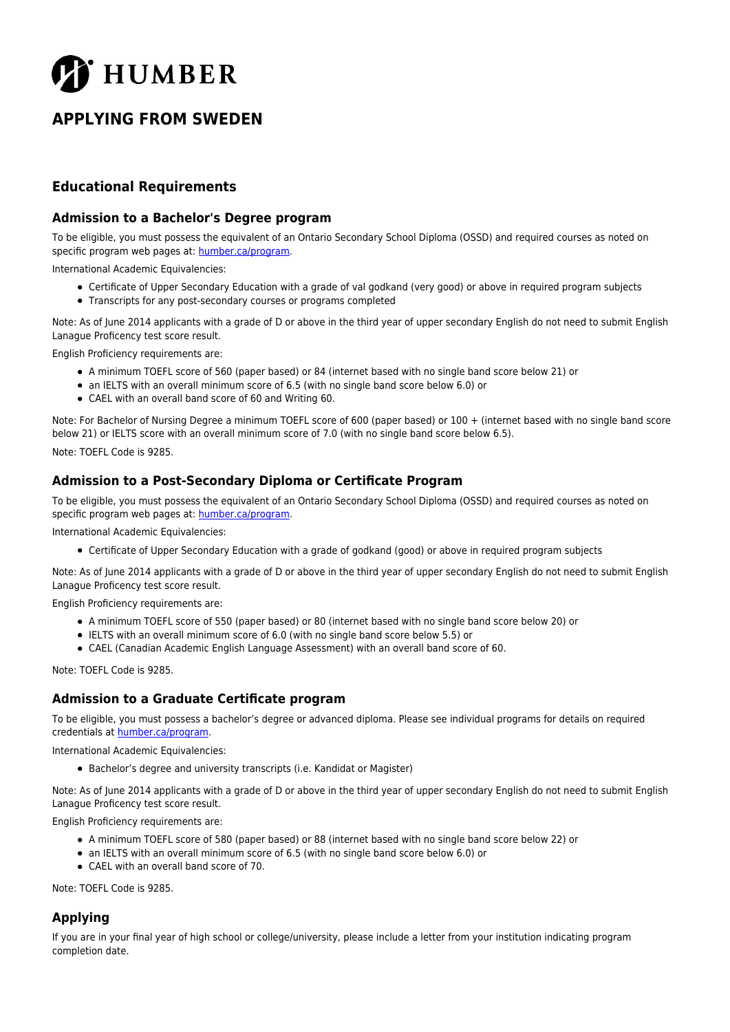

# **APPLYING FROM SWEDEN**

## **Educational Requirements**

#### **Admission to a Bachelor's Degree program**

To be eligible, you must possess the equivalent of an Ontario Secondary School Diploma (OSSD) and required courses as noted on specific program web pages at: [humber.ca/program](http://humber.ca/program).

International Academic Equivalencies:

- Certificate of Upper Secondary Education with a grade of val godkand (very good) or above in required program subjects
- Transcripts for any post-secondary courses or programs completed

Note: As of June 2014 applicants with a grade of D or above in the third year of upper secondary English do not need to submit English Lanague Proficency test score result.

English Proficiency requirements are:

- A minimum TOEFL score of 560 (paper based) or 84 (internet based with no single band score below 21) or
- an IELTS with an overall minimum score of 6.5 (with no single band score below 6.0) or
- CAEL with an overall band score of 60 and Writing 60.

Note: For Bachelor of Nursing Degree a minimum TOEFL score of 600 (paper based) or 100 + (internet based with no single band score below 21) or IELTS score with an overall minimum score of 7.0 (with no single band score below 6.5).

Note: TOEFL Code is 9285.

#### **Admission to a Post-Secondary Diploma or Certificate Program**

To be eligible, you must possess the equivalent of an Ontario Secondary School Diploma (OSSD) and required courses as noted on specific program web pages at: [humber.ca/program](http://humber.ca/program).

International Academic Equivalencies:

Certificate of Upper Secondary Education with a grade of godkand (good) or above in required program subjects

Note: As of June 2014 applicants with a grade of D or above in the third year of upper secondary English do not need to submit English Lanague Proficency test score result.

English Proficiency requirements are:

- A minimum TOEFL score of 550 (paper based) or 80 (internet based with no single band score below 20) or
- IELTS with an overall minimum score of 6.0 (with no single band score below 5.5) or
- CAEL (Canadian Academic English Language Assessment) with an overall band score of 60.

Note: TOEFL Code is 9285.

#### **Admission to a Graduate Certificate program**

To be eligible, you must possess a bachelor's degree or advanced diploma. Please see individual programs for details on required credentials at [humber.ca/program](http://humber.ca/program).

International Academic Equivalencies:

Bachelor's degree and university transcripts (i.e. Kandidat or Magister)

Note: As of June 2014 applicants with a grade of D or above in the third year of upper secondary English do not need to submit English Lanague Proficency test score result.

English Proficiency requirements are:

- A minimum TOEFL score of 580 (paper based) or 88 (internet based with no single band score below 22) or
- an IELTS with an overall minimum score of 6.5 (with no single band score below 6.0) or
- CAEL with an overall band score of 70.

Note: TOEFL Code is 9285.

### **Applying**

If you are in your final year of high school or college/university, please include a letter from your institution indicating program completion date.